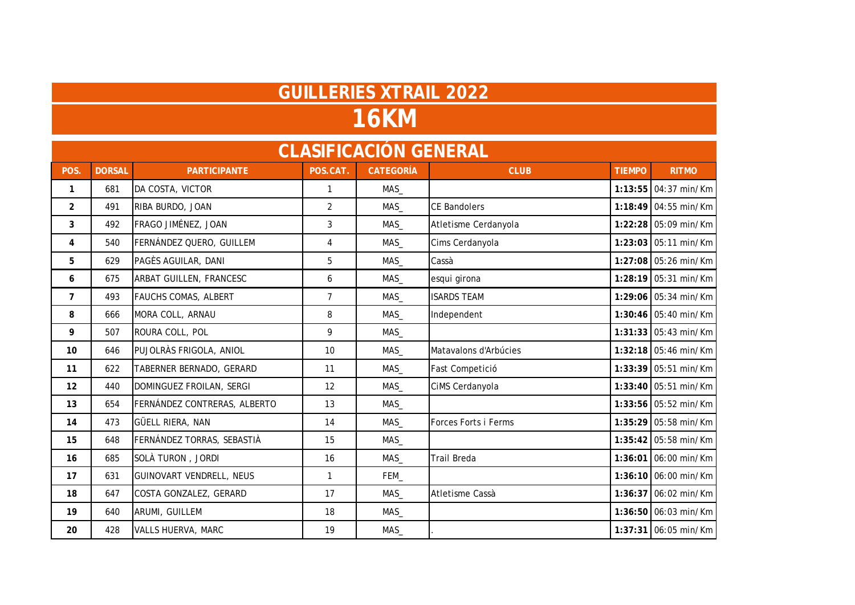|                | <b>16KM</b>   |                                |                |                              |                             |               |                      |  |  |  |  |
|----------------|---------------|--------------------------------|----------------|------------------------------|-----------------------------|---------------|----------------------|--|--|--|--|
|                |               |                                |                | <b>CLASIFICACIÓN GENERAL</b> |                             |               |                      |  |  |  |  |
| POS.           | <b>DORSAL</b> | <b>PARTICIPANTE</b>            | POS.CAT.       | <b>CATEGORÍA</b>             | <b>CLUB</b>                 | <b>TIEMPO</b> | <b>RITMO</b>         |  |  |  |  |
| $\mathbf{1}$   | 681           | DA COSTA, VICTOR               | $\mathbf{1}$   | MAS_                         |                             |               | 1:13:55 04:37 min/Km |  |  |  |  |
| $\overline{2}$ | 491           | RIBA BURDO, JOAN               | $\overline{2}$ | MAS                          | <b>CE Bandolers</b>         |               | 1:18:49 04:55 min/Km |  |  |  |  |
| 3              | 492           | FRAGO JIMÉNEZ, JOAN            | 3              | MAS                          | Atletisme Cerdanyola        |               | 1:22:28 05:09 min/Km |  |  |  |  |
| 4              | 540           | FERNÁNDEZ QUERO, GUILLEM       | 4              | MAS                          | Cims Cerdanyola             |               | 1:23:03 05:11 min/Km |  |  |  |  |
| 5              | 629           | PAGÈS AGUILAR, DANI            | 5              | MAS                          | Cassà                       |               | 1:27:08 05:26 min/Km |  |  |  |  |
| 6              | 675           | <b>ARBAT GUILLEN, FRANCESC</b> | 6              | MAS                          | esqui girona                |               | 1:28:19 05:31 min/Km |  |  |  |  |
| $\overline{7}$ | 493           | <b>FAUCHS COMAS, ALBERT</b>    | $\overline{7}$ | MAS                          | <b>ISARDS TEAM</b>          |               | 1:29:06 05:34 min/Km |  |  |  |  |
| 8              | 666           | MORA COLL, ARNAU               | 8              | MAS                          | Independent                 |               | 1:30:46 05:40 min/Km |  |  |  |  |
| 9              | 507           | ROURA COLL, POL                | 9              | MAS                          |                             |               | 1:31:33 05:43 min/Km |  |  |  |  |
| 10             | 646           | PUJOLRÀS FRIGOLA, ANIOL        | 10             | MAS                          | Matavalons d'Arbúcies       |               | 1:32:18 05:46 min/Km |  |  |  |  |
| 11             | 622           | TABERNER BERNADO, GERARD       | 11             | MAS                          | Fast Competició             |               | 1:33:39 05:51 min/Km |  |  |  |  |
| 12             | 440           | DOMINGUEZ FROILAN, SERGI       | 12             | MAS                          | CiMS Cerdanyola             |               | 1:33:40 05:51 min/Km |  |  |  |  |
| 13             | 654           | FERNÁNDEZ CONTRERAS, ALBERTO   | 13             | MAS_                         |                             |               | 1:33:56 05:52 min/Km |  |  |  |  |
| 14             | 473           | GÜELL RIERA, NAN               | 14             | MAS                          | <b>Forces Forts i Ferms</b> |               | 1:35:29 05:58 min/Km |  |  |  |  |
| 15             | 648           | FERNÁNDEZ TORRAS, SEBASTIÀ     | 15             | MAS                          |                             |               | 1:35:42 05:58 min/Km |  |  |  |  |
| 16             | 685           | SOLÀ TURON, JORDI              | 16             | MAS                          | Trail Breda                 |               | 1:36:01 06:00 min/Km |  |  |  |  |
| 17             | 631           | GUINOVART VENDRELL, NEUS       | $\mathbf{1}$   | FEM_                         |                             |               | 1:36:10 06:00 min/Km |  |  |  |  |
| 18             | 647           | COSTA GONZALEZ, GERARD         | 17             | MAS                          | Atletisme Cassà             |               | 1:36:37 06:02 min/Km |  |  |  |  |
| 19             | 640           | ARUMI, GUILLEM                 | 18             | MAS                          |                             |               | 1:36:50 06:03 min/Km |  |  |  |  |
| 20             | 428           | VALLS HUERVA, MARC             | 19             | MAS_                         |                             |               | 1:37:31 06:05 min/Km |  |  |  |  |

**GUILLERIES XTRAIL 2022**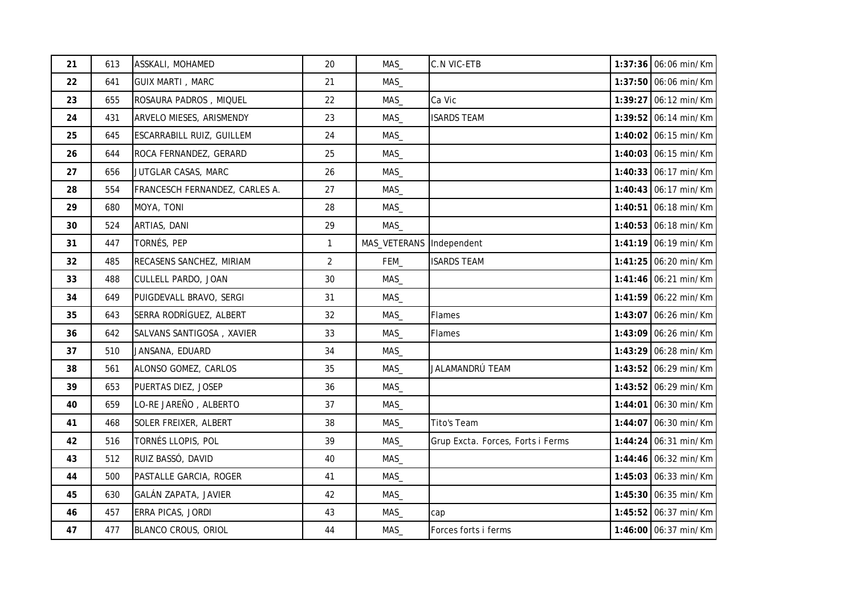| 21 | 613 | ASSKALI, MOHAMED               | 20             | MAS_         | <b>C.N VIC-ETB</b>                | 1:37:36 06:06 min/Km   |
|----|-----|--------------------------------|----------------|--------------|-----------------------------------|------------------------|
| 22 | 641 | <b>GUIX MARTI, MARC</b>        | 21             | MAS          |                                   | 1:37:50 06:06 min/Km   |
| 23 | 655 | ROSAURA PADROS, MIQUEL         | 22             | MAS_         | Ca Vic                            | 1:39:27 06:12 min/Km   |
| 24 | 431 | ARVELO MIESES, ARISMENDY       | 23             | MAS          | <b>ISARDS TEAM</b>                | 1:39:52 06:14 min/Km   |
| 25 | 645 | ESCARRABILL RUIZ, GUILLEM      | 24             | MAS          |                                   | 1:40:02 06:15 min/Km   |
| 26 | 644 | ROCA FERNANDEZ, GERARD         | 25             | MAS          |                                   | 1:40:03 06:15 min/Km   |
| 27 | 656 | JUTGLAR CASAS, MARC            | 26             | MAS          |                                   | 1:40:33 06:17 min/Km   |
| 28 | 554 | FRANCESCH FERNANDEZ, CARLES A. | 27             | MAS          |                                   | 1:40:43 06:17 min/Km   |
| 29 | 680 | MOYA, TONI                     | 28             | MAS          |                                   | 1:40:51 06:18 min/Km   |
| 30 | 524 | ARTIAS, DANI                   | 29             | MAS_         |                                   | 1:40:53 06:18 min/Km   |
| 31 | 447 | TORNÉS, PEP                    | 1              | MAS_VETERANS | Independent                       | 1:41:19 06:19 min/Km   |
| 32 | 485 | RECASENS SANCHEZ, MIRIAM       | $\overline{2}$ | FEM_         | <b>ISARDS TEAM</b>                | 1:41:25 06:20 min/Km   |
| 33 | 488 | CULLELL PARDO, JOAN            | 30             | MAS_         |                                   | 1:41:46 06:21 min/Km   |
| 34 | 649 | PUIGDEVALL BRAVO, SERGI        | 31             | MAS_         |                                   | 1:41:59 06:22 min/Km   |
| 35 | 643 | SERRA RODRÍGUEZ, ALBERT        | 32             | MAS          | <b>Flames</b>                     | 1:43:07 06:26 min/Km   |
| 36 | 642 | SALVANS SANTIGOSA, XAVIER      | 33             | MAS_         | <b>Flames</b>                     | 1:43:09 06:26 min/Km   |
| 37 | 510 | JANSANA, EDUARD                | 34             | MAS          |                                   | 1:43:29 06:28 min/Km   |
| 38 | 561 | ALONSO GOMEZ, CARLOS           | 35             | MAS_         | JALAMANDRÚ TEAM                   | $1:43:52$ 06:29 min/Km |
| 39 | 653 | PUERTAS DIEZ, JOSEP            | 36             | MAS          |                                   | 1:43:52 06:29 min/Km   |
| 40 | 659 | LO-RE JAREÑO, ALBERTO          | 37             | MAS          |                                   | 1:44:01 06:30 min/Km   |
| 41 | 468 | SOLER FREIXER, ALBERT          | 38             | MAS          | <b>Tito's Team</b>                | 1:44:07 06:30 min/Km   |
| 42 | 516 | TORNÉS LLOPIS, POL             | 39             | MAS_         | Grup Excta. Forces, Forts i Ferms | 1:44:24 06:31 min/Km   |
| 43 | 512 | RUIZ BASSÓ, DAVID              | 40             | MAS_         |                                   | 1:44:46 06:32 min/Km   |
| 44 | 500 | PASTALLE GARCIA, ROGER         | 41             | MAS          |                                   | 1:45:03 06:33 min/Km   |
| 45 | 630 | GALÁN ZAPATA, JAVIER           | 42             | MAS          |                                   | 1:45:30 06:35 min/Km   |
| 46 | 457 | ERRA PICAS, JORDI              | 43             | MAS          | cap                               | 1:45:52 06:37 min/Km   |
| 47 | 477 | BLANCO CROUS, ORIOL            | 44             | MAS          | Forces forts i ferms              | 1:46:00 06:37 min/Km   |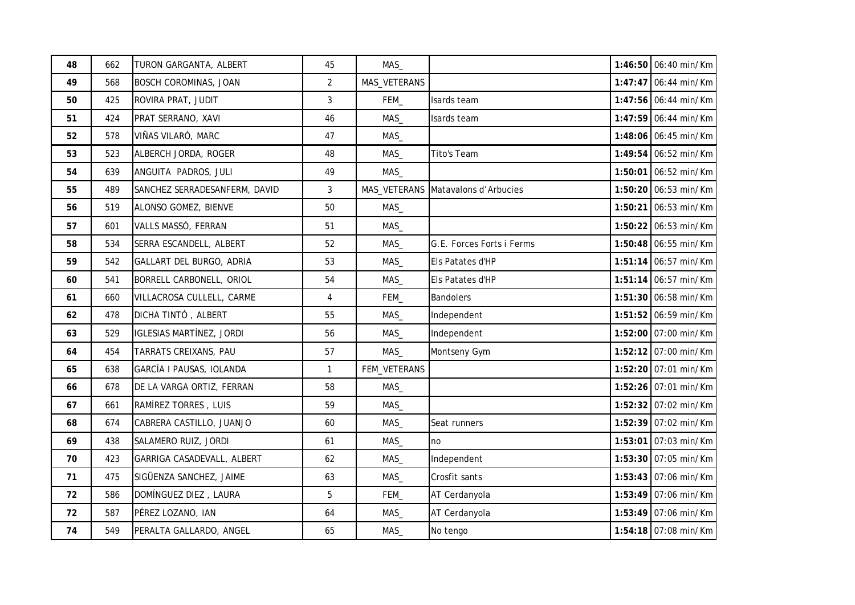| 48 | 662 | TURON GARGANTA, ALBERT        | 45             | MAS          |                           | 1:46:50 06:40 min/Km |
|----|-----|-------------------------------|----------------|--------------|---------------------------|----------------------|
| 49 | 568 | <b>BOSCH COROMINAS, JOAN</b>  | $\overline{2}$ | MAS_VETERANS |                           | 1:47:47 06:44 min/Km |
| 50 | 425 | ROVIRA PRAT, JUDIT            | $\mathfrak{Z}$ | FEM_         | Isards team               | 1:47:56 06:44 min/Km |
| 51 | 424 | PRAT SERRANO, XAVI            | 46             | MAS          | Isards team               | 1:47:59 06:44 min/Km |
| 52 | 578 | VIÑAS VILARÓ, MARC            | 47             | MAS          |                           | 1:48:06 06:45 min/Km |
| 53 | 523 | ALBERCH JORDA, ROGER          | 48             | MAS_         | Tito's Team               | 1:49:54 06:52 min/Km |
| 54 | 639 | ANGUITA PADROS, JULI          | 49             | MAS          |                           | 1:50:01 06:52 min/Km |
| 55 | 489 | SANCHEZ SERRADESANFERM, DAVID | $\mathbf{3}$   | MAS_VETERANS | Matavalons d'Arbucies     | 1:50:20 06:53 min/Km |
| 56 | 519 | ALONSO GOMEZ, BIENVE          | 50             | MAS          |                           | 1:50:21 06:53 min/Km |
| 57 | 601 | VALLS MASSÓ, FERRAN           | 51             | MAS          |                           | 1:50:22 06:53 min/Km |
| 58 | 534 | SERRA ESCANDELL, ALBERT       | 52             | MAS          | G.E. Forces Forts i Ferms | 1:50:48 06:55 min/Km |
| 59 | 542 | GALLART DEL BURGO, ADRIA      | 53             | MAS          | Els Patates d'HP          | 1:51:14 06:57 min/Km |
| 60 | 541 | BORRELL CARBONELL, ORIOL      | 54             | MAS          | Els Patates d'HP          | 1:51:14 06:57 min/Km |
| 61 | 660 | VILLACROSA CULLELL, CARME     | 4              | FEM_         | <b>Bandolers</b>          | 1:51:30 06:58 min/Km |
| 62 | 478 | DICHA TINTÓ, ALBERT           | 55             | MAS          | Independent               | 1:51:52 06:59 min/Km |
| 63 | 529 | IGLESIAS MARTÍNEZ, JORDI      | 56             | MAS_         | Independent               | 1:52:00 07:00 min/Km |
| 64 | 454 | TARRATS CREIXANS, PAU         | 57             | MAS          | Montseny Gym              | 1:52:12 07:00 min/Km |
| 65 | 638 | GARCÍA I PAUSAS, IOLANDA      | $\mathbf{1}$   | FEM_VETERANS |                           | 1:52:20 07:01 min/Km |
| 66 | 678 | DE LA VARGA ORTIZ, FERRAN     | 58             | MAS          |                           | 1:52:26 07:01 min/Km |
| 67 | 661 | RAMÍREZ TORRES, LUIS          | 59             | MAS          |                           | 1:52:32 07:02 min/Km |
| 68 | 674 | CABRERA CASTILLO, JUANJO      | 60             | MAS          | Seat runners              | 1:52:39 07:02 min/Km |
| 69 | 438 | SALAMERO RUIZ, JORDI          | 61             | MAS_         | no                        | 1:53:01 07:03 min/Km |
| 70 | 423 | GARRIGA CASADEVALL, ALBERT    | 62             | MAS          | Independent               | 1:53:30 07:05 min/Km |
| 71 | 475 | SIGÜENZA SANCHEZ, JAIME       | 63             | MAS          | Crosfit sants             | 1:53:43 07:06 min/Km |
| 72 | 586 | DOMÍNGUEZ DIEZ, LAURA         | 5              | FEM          | AT Cerdanyola             | 1:53:49 07:06 min/Km |
| 72 | 587 | PÉREZ LOZANO, IAN             | 64             | MAS_         | AT Cerdanyola             | 1:53:49 07:06 min/Km |
| 74 | 549 | PERALTA GALLARDO, ANGEL       | 65             | MAS_         | No tengo                  | 1:54:18 07:08 min/Km |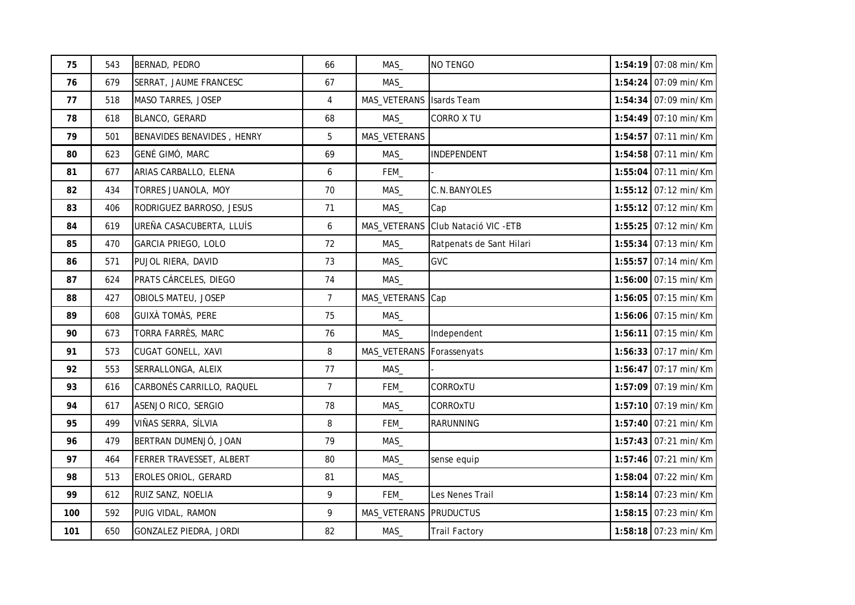| 75  | 543 | BERNAD, PEDRO              | 66               | MAS          | NO TENGO                            | 1:54:19 07:08 min/Km   |
|-----|-----|----------------------------|------------------|--------------|-------------------------------------|------------------------|
| 76  | 679 | SERRAT, JAUME FRANCESC     | 67               | MAS          |                                     | 1:54:24 07:09 min/Km   |
| 77  | 518 | MASO TARRES, JOSEP         | 4                | MAS_VETERANS | <b>Isards Team</b>                  | 1:54:34 07:09 min/Km   |
| 78  | 618 | BLANCO, GERARD             | 68               | MAS          | CORRO X TU                          | 1:54:49 07:10 min/Km   |
| 79  | 501 | BENAVIDES BENAVIDES, HENRY | 5                | MAS_VETERANS |                                     | 1:54:57 07:11 min/Km   |
| 80  | 623 | GENÉ GIMÓ, MARC            | 69               | MAS          | INDEPENDENT                         | 1:54:58 07:11 min/Km   |
| 81  | 677 | ARIAS CARBALLO, ELENA      | 6                | FEM_         |                                     | 1:55:04 07:11 min/Km   |
| 82  | 434 | TORRES JUANOLA, MOY        | 70               | MAS          | C.N.BANYOLES                        | 1:55:12 07:12 min/Km   |
| 83  | 406 | RODRIGUEZ BARROSO, JESUS   | 71               | MAS          | Cap                                 | 1:55:12 07:12 min/Km   |
| 84  | 619 | UREÑA CASACUBERTA, LLUÍS   | $\boldsymbol{6}$ |              | MAS_VETERANS Club Natació VIC - ETB | 1:55:25 07:12 min/Km   |
| 85  | 470 | GARCIA PRIEGO, LOLO        | 72               | MAS          | Ratpenats de Sant Hilari            | 1:55:34 07:13 min/Km   |
| 86  | 571 | PUJOL RIERA, DAVID         | 73               | MAS          | <b>GVC</b>                          | 1:55:57 07:14 min/Km   |
| 87  | 624 | PRATS CÁRCELES, DIEGO      | 74               | MAS          |                                     | 1:56:00 07:15 min/Km   |
| 88  | 427 | OBIOLS MATEU, JOSEP        | $\overline{7}$   | MAS_VETERANS | Cap                                 | 1:56:05 07:15 min/Km   |
| 89  | 608 | <b>GUIXÀ TOMÀS, PERE</b>   | 75               | MAS_         |                                     | 1:56:06 07:15 min/Km   |
| 90  | 673 | <b>TORRA FARRÈS, MARC</b>  | 76               | MAS          | Independent                         | $1:56:11$ 07:15 min/Km |
| 91  | 573 | <b>CUGAT GONELL, XAVI</b>  | 8                | MAS_VETERANS | Forassenyats                        | 1:56:33 07:17 min/Km   |
| 92  | 553 | SERRALLONGA, ALEIX         | 77               | MAS_         |                                     | 1:56:47 07:17 min/Km   |
| 93  | 616 | CARBONÉS CARRILLO, RAQUEL  | $\overline{7}$   | FEM_         | CORROxTU                            | 1:57:09 07:19 min/Km   |
| 94  | 617 | ASENJO RICO, SERGIO        | 78               | MAS          | CORROxTU                            | 1:57:10 07:19 min/Km   |
| 95  | 499 | VIÑAS SERRA, SÍLVIA        | 8                | FEM_         | <b>RARUNNING</b>                    | 1:57:40 07:21 min/Km   |
| 96  | 479 | BERTRAN DUMENJÓ, JOAN      | 79               | MAS          |                                     | 1:57:43 07:21 min/Km   |
| 97  | 464 | FERRER TRAVESSET, ALBERT   | 80               | MAS          | sense equip                         | 1:57:46 07:21 min/Km   |
| 98  | 513 | EROLES ORIOL, GERARD       | 81               | MAS          |                                     | 1:58:04 07:22 min/Km   |
| 99  | 612 | RUIZ SANZ, NOELIA          | 9                | FEM_         | Les Nenes Trail                     | 1:58:14 07:23 min/Km   |
| 100 | 592 | PUIG VIDAL, RAMON          | 9                | MAS_VETERANS | <b>PRUDUCTUS</b>                    | 1:58:15 07:23 min/Km   |
| 101 | 650 | GONZALEZ PIEDRA, JORDI     | 82               | MAS          | <b>Trail Factory</b>                | 1:58:18 07:23 min/Km   |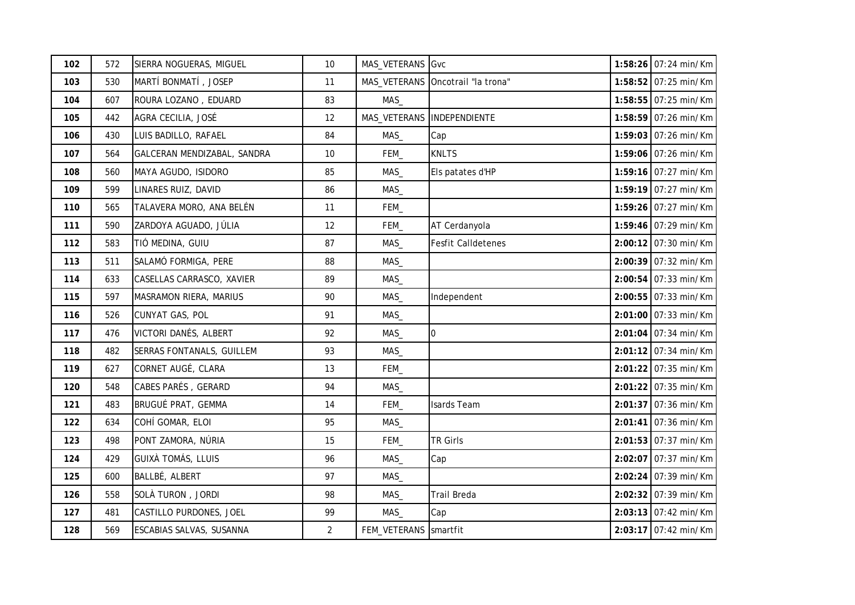| 102 | 572 | SIERRA NOGUERAS, MIGUEL         | 10             | MAS_VETERANS          | Gvc                       | 1:58:26 07:24 min/Km |
|-----|-----|---------------------------------|----------------|-----------------------|---------------------------|----------------------|
| 103 | 530 | MARTÍ BONMATÍ, JOSEP            | 11             | MAS_VETERANS          | Oncotrail "la trona"      | 1:58:52 07:25 min/Km |
| 104 | 607 | ROURA LOZANO, EDUARD            | 83             | MAS                   |                           | 1:58:55 07:25 min/Km |
| 105 | 442 | AGRA CECILIA, JOSÉ              | 12             | MAS_VETERANS          | INDEPENDIENTE             | 1:58:59 07:26 min/Km |
| 106 | 430 | LUIS BADILLO, RAFAEL            | 84             | MAS_                  | Cap                       | 1:59:03 07:26 min/Km |
| 107 | 564 | GALCERAN MENDIZABAL, SANDRA     | 10             | FEM_                  | <b>KNLTS</b>              | 1:59:06 07:26 min/Km |
| 108 | 560 | MAYA AGUDO, ISIDORO             | 85             | MAS                   | Els patates d'HP          | 1:59:16 07:27 min/Km |
| 109 | 599 | LINARES RUIZ, DAVID             | 86             | MAS                   |                           | 1:59:19 07:27 min/Km |
| 110 | 565 | TALAVERA MORO, ANA BELÉN        | 11             | FEM_                  |                           | 1:59:26 07:27 min/Km |
| 111 | 590 | ZARDOYA AGUADO, JÚLIA           | 12             | FEM_                  | AT Cerdanyola             | 1:59:46 07:29 min/Km |
| 112 | 583 | TIÓ MEDINA, GUIU                | 87             | MAS                   | <b>Fesfit Calldetenes</b> | 2:00:12 07:30 min/Km |
| 113 | 511 | SALAMÓ FORMIGA, PERE            | 88             | MAS                   |                           | 2:00:39 07:32 min/Km |
| 114 | 633 | CASELLAS CARRASCO, XAVIER       | 89             | MAS                   |                           | 2:00:54 07:33 min/Km |
| 115 | 597 | MASRAMON RIERA, MARIUS          | 90             | MAS                   | Independent               | 2:00:55 07:33 min/Km |
| 116 | 526 | CUNYAT GAS, POL                 | 91             | $MAS_$                |                           | 2:01:00 07:33 min/Km |
| 117 | 476 | VICTORI DANÉS, ALBERT           | 92             | MAS                   | $\overline{0}$            | 2:01:04 07:34 min/Km |
| 118 | 482 | SERRAS FONTANALS, GUILLEM       | 93             | MAS                   |                           | 2:01:12 07:34 min/Km |
| 119 | 627 | CORNET AUGÉ, CLARA              | 13             | FEM_                  |                           | 2:01:22 07:35 min/Km |
| 120 | 548 | CABES PARÉS, GERARD             | 94             | MAS                   |                           | 2:01:22 07:35 min/Km |
| 121 | 483 | BRUGUÉ PRAT, GEMMA              | 14             | FEM_                  | Isards Team               | 2:01:37 07:36 min/Km |
| 122 | 634 | COHÍ GOMAR, ELOI                | 95             | MAS_                  |                           | 2:01:41 07:36 min/Km |
| 123 | 498 | PONT ZAMORA, NÚRIA              | 15             | FEM_                  | <b>TR Girls</b>           | 2:01:53 07:37 min/Km |
| 124 | 429 | <b>GUIXÀ TOMÁS, LLUIS</b>       | 96             | MAS_                  | Cap                       | 2:02:07 07:37 min/Km |
| 125 | 600 | BALLBÉ, ALBERT                  | 97             | MAS_                  |                           | 2:02:24 07:39 min/Km |
| 126 | 558 | SOLÀ TURON, JORDI               | 98             | MAS                   | <b>Trail Breda</b>        | 2:02:32 07:39 min/Km |
| 127 | 481 | CASTILLO PURDONES, JOEL         | 99             | MAS                   | Cap                       | 2:03:13 07:42 min/Km |
| 128 | 569 | <b>ESCABIAS SALVAS, SUSANNA</b> | $\overline{c}$ | FEM_VETERANS Smartfit |                           | 2:03:17 07:42 min/Km |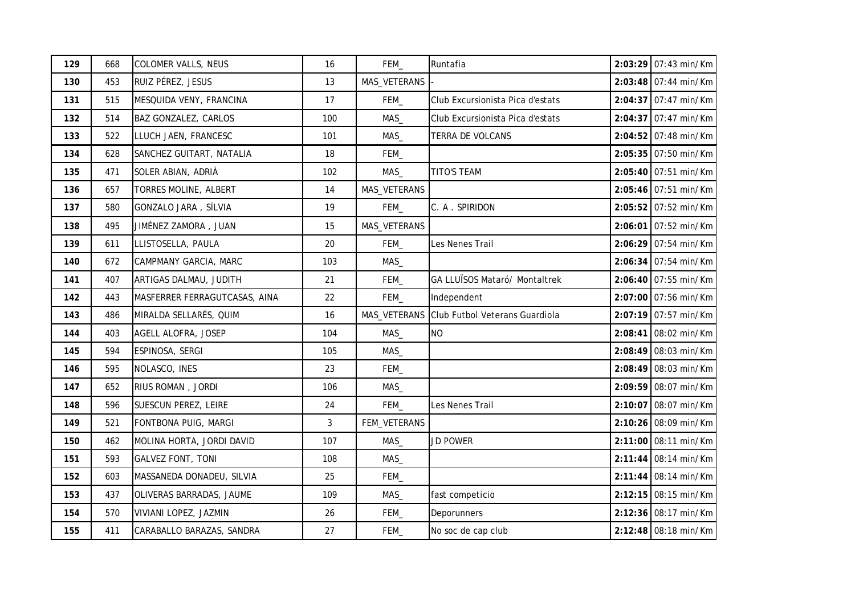| 129 | 668 | <b>COLOMER VALLS, NEUS</b>    | 16  | FEM_         | Runtafia                         | 2:03:29 07:43 min/Km   |
|-----|-----|-------------------------------|-----|--------------|----------------------------------|------------------------|
| 130 | 453 | RUIZ PÉREZ, JESUS             | 13  | MAS_VETERANS |                                  | 2:03:48 07:44 min/Km   |
| 131 | 515 | MESQUIDA VENY, FRANCINA       | 17  | FEM_         | Club Excursionista Pica d'estats | 2:04:37 07:47 min/Km   |
| 132 | 514 | BAZ GONZALEZ, CARLOS          | 100 | MAS          | Club Excursionista Pica d'estats | 2:04:37 07:47 min/Km   |
| 133 | 522 | LLUCH JAEN, FRANCESC          | 101 | MAS_         | TERRA DE VOLCANS                 | 2:04:52 07:48 min/Km   |
| 134 | 628 | SANCHEZ GUITART, NATALIA      | 18  | FEM_         |                                  | 2:05:35 07:50 min/Km   |
| 135 | 471 | SOLER ABIAN, ADRIÀ            | 102 | MAS_         | <b>TITO'S TEAM</b>               | 2:05:40 07:51 min/Km   |
| 136 | 657 | <b>TORRES MOLINE, ALBERT</b>  | 14  | MAS_VETERANS |                                  | 2:05:46 07:51 min/Km   |
| 137 | 580 | GONZALO JARA, SÍLVIA          | 19  | FEM_         | C. A. SPIRIDON                   | 2:05:52 07:52 min/Km   |
| 138 | 495 | JIMÉNEZ ZAMORA, JUAN          | 15  | MAS_VETERANS |                                  | 2:06:01 07:52 min/Km   |
| 139 | 611 | LLISTOSELLA, PAULA            | 20  | FEM          | Les Nenes Trail                  | 2:06:29 07:54 min/Km   |
| 140 | 672 | CAMPMANY GARCIA, MARC         | 103 | MAS          |                                  | 2:06:34 07:54 min/Km   |
| 141 | 407 | ARTIGAS DALMAU, JUDITH        | 21  | FEM_         | GA LLUÏSOS Mataró/ Montaltrek    | 2:06:40 07:55 min/Km   |
| 142 | 443 | MASFERRER FERRAGUTCASAS, AINA | 22  | FEM_         | Independent                      | 2:07:00 07:56 min/Km   |
| 143 | 486 | MIRALDA SELLARÉS, QUIM        | 16  | MAS_VETERANS | Club Futbol Veterans Guardiola   | 2:07:19 07:57 min/Km   |
| 144 | 403 | AGELL ALOFRA, JOSEP           | 104 | MAS_         | <b>NO</b>                        | $2:08:41$ 08:02 min/Km |
| 145 | 594 | ESPINOSA, SERGI               | 105 | MAS          |                                  | 2:08:49 08:03 min/Km   |
| 146 | 595 | NOLASCO, INES                 | 23  | FEM_         |                                  | 2:08:49 08:03 min/Km   |
| 147 | 652 | RIUS ROMAN, JORDI             | 106 | MAS          |                                  | 2:09:59 08:07 min/Km   |
| 148 | 596 | SUESCUN PEREZ, LEIRE          | 24  | FEM_         | Les Nenes Trail                  | 2:10:07 08:07 min/Km   |
| 149 | 521 | FONTBONA PUIG, MARGI          | 3   | FEM_VETERANS |                                  | 2:10:26 08:09 min/Km   |
| 150 | 462 | MOLINA HORTA, JORDI DAVID     | 107 | MAS_         | <b>JD POWER</b>                  | 2:11:00 08:11 min/Km   |
| 151 | 593 | <b>GALVEZ FONT, TONI</b>      | 108 | MAS          |                                  | 2:11:44 08:14 min/Km   |
| 152 | 603 | MASSANEDA DONADEU, SILVIA     | 25  | FEM_         |                                  | 2:11:44 08:14 min/Km   |
| 153 | 437 | OLIVERAS BARRADAS, JAUME      | 109 | MAS_         | fast competicio                  | 2:12:15 08:15 min/Km   |
| 154 | 570 | VIVIANI LOPEZ, JAZMIN         | 26  | FEM_         | Deporunners                      | 2:12:36 08:17 min/Km   |
| 155 | 411 | CARABALLO BARAZAS, SANDRA     | 27  | FEM_         | No soc de cap club               | 2:12:48 08:18 min/Km   |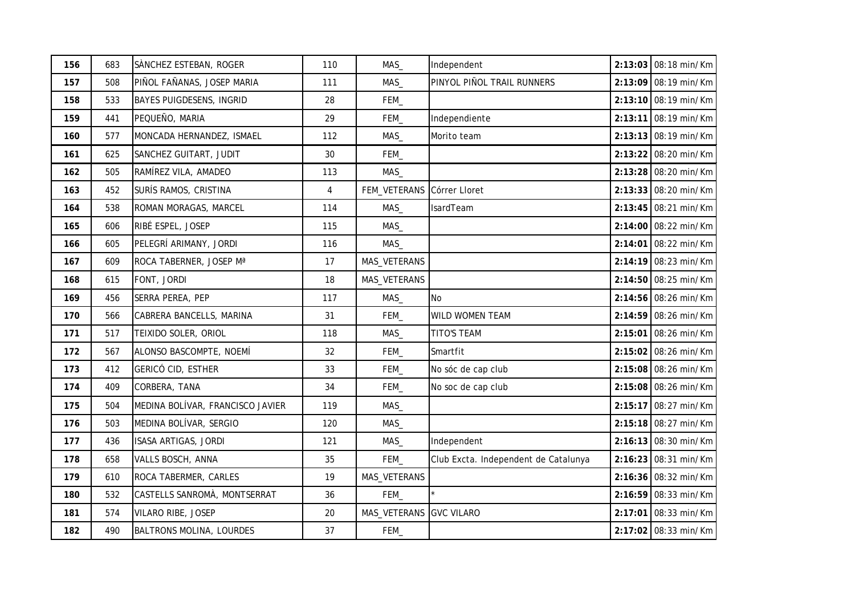| 156 | 683 | SÀNCHEZ ESTEBAN, ROGER           | 110            | MAS_         | Independent                          | 2:13:03 08:18 min/Km |
|-----|-----|----------------------------------|----------------|--------------|--------------------------------------|----------------------|
| 157 | 508 | PIÑOL FAÑANAS, JOSEP MARIA       | 111            | MAS_         | PINYOL PIÑOL TRAIL RUNNERS           | 2:13:09 08:19 min/Km |
| 158 | 533 | <b>BAYES PUIGDESENS, INGRID</b>  | 28             | FEM          |                                      | 2:13:10 08:19 min/Km |
| 159 | 441 | PEQUEÑO, MARIA                   | 29             | FEM_         | Independiente                        | 2:13:11 08:19 min/Km |
| 160 | 577 | MONCADA HERNANDEZ, ISMAEL        | 112            | MAS_         | Morito team                          | 2:13:13 08:19 min/Km |
| 161 | 625 | SANCHEZ GUITART, JUDIT           | 30             | FEM_         |                                      | 2:13:22 08:20 min/Km |
| 162 | 505 | RAMÍREZ VILA, AMADEO             | 113            | MAS          |                                      | 2:13:28 08:20 min/Km |
| 163 | 452 | SURÍS RAMOS, CRISTINA            | $\overline{4}$ | FEM_VETERANS | Córrer Lloret                        | 2:13:33 08:20 min/Km |
| 164 | 538 | ROMAN MORAGAS, MARCEL            | 114            | MAS          | IsardTeam                            | 2:13:45 08:21 min/Km |
| 165 | 606 | RIBÉ ESPEL, JOSEP                | 115            | MAS_         |                                      | 2:14:00 08:22 min/Km |
| 166 | 605 | PELEGRÍ ARIMANY, JORDI           | 116            | MAS          |                                      | 2:14:01 08:22 min/Km |
| 167 | 609 | ROCA TABERNER, JOSEP Mª          | 17             | MAS_VETERANS |                                      | 2:14:19 08:23 min/Km |
| 168 | 615 | FONT, JORDI                      | 18             | MAS_VETERANS |                                      | 2:14:50 08:25 min/Km |
| 169 | 456 | SERRA PEREA, PEP                 | 117            | MAS_         | <b>No</b>                            | 2:14:56 08:26 min/Km |
| 170 | 566 | CABRERA BANCELLS, MARINA         | 31             | FEM_         | WILD WOMEN TEAM                      | 2:14:59 08:26 min/Km |
| 171 | 517 | TEIXIDO SOLER, ORIOL             | 118            | MAS          | <b>TITO'S TEAM</b>                   | 2:15:01 08:26 min/Km |
| 172 | 567 | ALONSO BASCOMPTE, NOEMÍ          | 32             | FEM_         | Smartfit                             | 2:15:02 08:26 min/Km |
| 173 | 412 | GERICÓ CID, ESTHER               | 33             | FEM_         | No sóc de cap club                   | 2:15:08 08:26 min/Km |
| 174 | 409 | CORBERA, TANA                    | 34             | FEM_         | No soc de cap club                   | 2:15:08 08:26 min/Km |
| 175 | 504 | MEDINA BOLÍVAR, FRANCISCO JAVIER | 119            | $MAS_$       |                                      | 2:15:17 08:27 min/Km |
| 176 | 503 | MEDINA BOLÍVAR, SERGIO           | 120            | MAS          |                                      | 2:15:18 08:27 min/Km |
| 177 | 436 | ISASA ARTIGAS, JORDI             | 121            | MAS          | Independent                          | 2:16:13 08:30 min/Km |
| 178 | 658 | VALLS BOSCH, ANNA                | 35             | FEM_         | Club Excta. Independent de Catalunya | 2:16:23 08:31 min/Km |
| 179 | 610 | ROCA TABERMER, CARLES            | 19             | MAS_VETERANS |                                      | 2:16:36 08:32 min/Km |
| 180 | 532 | CASTELLS SANROMÀ, MONTSERRAT     | 36             | FEM          |                                      | 2:16:59 08:33 min/Km |
| 181 | 574 | VILARO RIBE, JOSEP               | 20             | MAS_VETERANS | <b>GVC VILARO</b>                    | 2:17:01 08:33 min/Km |
| 182 | 490 | BALTRONS MOLINA, LOURDES         | 37             | FEM_         |                                      | 2:17:02 08:33 min/Km |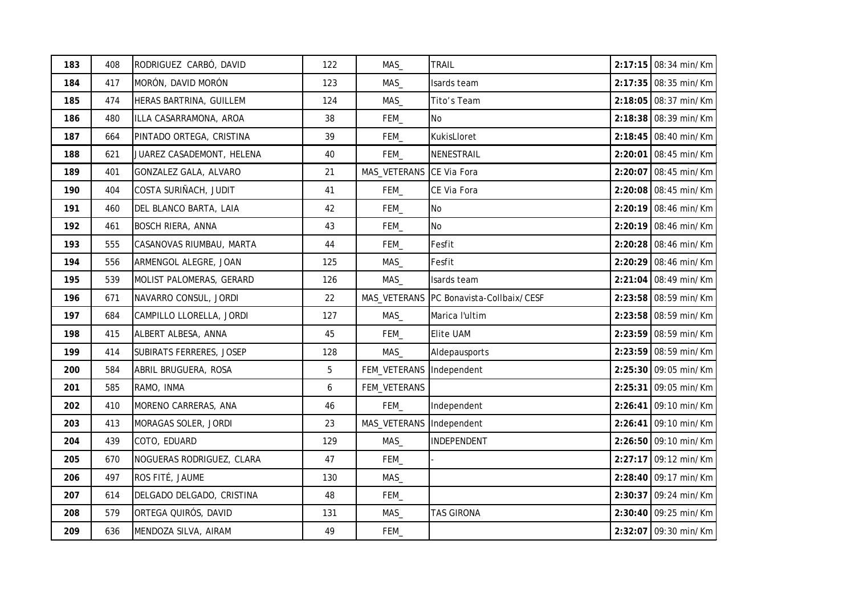| 183 | 408 | RODRIGUEZ CARBÓ, DAVID    | 122 | MAS_         | <b>TRAIL</b>               | 2:17:15 08:34 min/Km   |
|-----|-----|---------------------------|-----|--------------|----------------------------|------------------------|
| 184 | 417 | MORÓN, DAVID MORÓN        | 123 | MAS          | Isards team                | 2:17:35 08:35 min/Km   |
| 185 | 474 | HERAS BARTRINA, GUILLEM   | 124 | MAS          | Tito's Team                | 2:18:05 08:37 min/Km   |
| 186 | 480 | ILLA CASARRAMONA, AROA    | 38  | FEM_         | No.                        | 2:18:38 08:39 min/Km   |
| 187 | 664 | PINTADO ORTEGA, CRISTINA  | 39  | FEM_         | KukisLloret                | 2:18:45 08:40 min/Km   |
| 188 | 621 | JUAREZ CASADEMONT, HELENA | 40  | FEM_         | NENESTRAIL                 | $2:20:01$ 08:45 min/Km |
| 189 | 401 | GONZALEZ GALA, ALVARO     | 21  | MAS_VETERANS | CE Via Fora                | 2:20:07 08:45 min/Km   |
| 190 | 404 | COSTA SURIÑACH, JUDIT     | 41  | FEM_         | CE Via Fora                | 2:20:08 08:45 min/Km   |
| 191 | 460 | DEL BLANCO BARTA, LAIA    | 42  | FEM_         | <b>No</b>                  | 2:20:19 08:46 min/Km   |
| 192 | 461 | <b>BOSCH RIERA, ANNA</b>  | 43  | FEM_         | No                         | 2:20:19 08:46 min/Km   |
| 193 | 555 | CASANOVAS RIUMBAU, MARTA  | 44  | FEM_         | Fesfit                     | 2:20:28 08:46 min/Km   |
| 194 | 556 | ARMENGOL ALEGRE, JOAN     | 125 | MAS          | Fesfit                     | 2:20:29 08:46 min/Km   |
| 195 | 539 | MOLIST PALOMERAS, GERARD  | 126 | MAS          | Isards team                | 2:21:04 08:49 min/Km   |
| 196 | 671 | NAVARRO CONSUL, JORDI     | 22  | MAS_VETERANS | PC Bonavista-Collbaix/CESF | 2:23:58 08:59 min/Km   |
| 197 | 684 | CAMPILLO LLORELLA, JORDI  | 127 | MAS          | Marica l'ultim             | 2:23:58 08:59 min/Km   |
| 198 | 415 | ALBERT ALBESA, ANNA       | 45  | FEM          | <b>Elite UAM</b>           | 2:23:59 08:59 min/Km   |
| 199 | 414 | SUBIRATS FERRERES, JOSEP  | 128 | MAS_         | Aldepausports              | 2:23:59 08:59 min/Km   |
| 200 | 584 | ABRIL BRUGUERA, ROSA      | 5   | FEM_VETERANS | Independent                | 2:25:30 09:05 min/Km   |
| 201 | 585 | RAMO, INMA                | 6   | FEM_VETERANS |                            | 2:25:31 09:05 min/Km   |
| 202 | 410 | MORENO CARRERAS, ANA      | 46  | FEM_         | Independent                | 2:26:41 09:10 min/Km   |
| 203 | 413 | MORAGAS SOLER, JORDI      | 23  | MAS_VETERANS | Independent                | 2:26:41 09:10 min/Km   |
| 204 | 439 | COTO, EDUARD              | 129 | MAS          | INDEPENDENT                | 2:26:50 09:10 min/Km   |
| 205 | 670 | NOGUERAS RODRIGUEZ, CLARA | 47  | FEM_         |                            | 2:27:17 09:12 min/Km   |
| 206 | 497 | ROS FITÉ, JAUME           | 130 | MAS          |                            | 2:28:40 09:17 min/Km   |
| 207 | 614 | DELGADO DELGADO, CRISTINA | 48  | FEM_         |                            | 2:30:37 09:24 min/Km   |
| 208 | 579 | ORTEGA QUIRÓS, DAVID      | 131 | MAS          | <b>TAS GIRONA</b>          | 2:30:40 09:25 min/Km   |
| 209 | 636 | MENDOZA SILVA, AIRAM      | 49  | FEM          |                            | 2:32:07 09:30 min/Km   |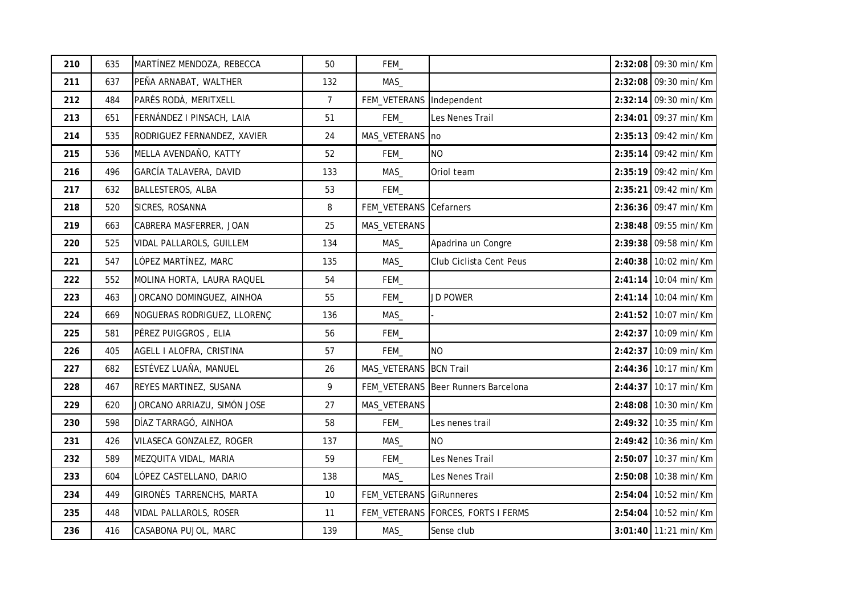| 210 | 635 | MARTÍNEZ MENDOZA, REBECCA   | 50             | FEM_                   |                                       | 2:32:08 09:30 min/Km |
|-----|-----|-----------------------------|----------------|------------------------|---------------------------------------|----------------------|
| 211 | 637 | PEÑA ARNABAT, WALTHER       | 132            | MAS                    |                                       | 2:32:08 09:30 min/Km |
| 212 | 484 | PARÉS RODÀ, MERITXELL       | $\overline{7}$ | FEM_VETERANS           | Independent                           | 2:32:14 09:30 min/Km |
| 213 | 651 | FERNÁNDEZ I PINSACH, LAIA   | 51             | FEM_                   | Les Nenes Trail                       | 2:34:01 09:37 min/Km |
| 214 | 535 | RODRIGUEZ FERNANDEZ, XAVIER | 24             | MAS_VETERANS           | n <sub>o</sub>                        | 2:35:13 09:42 min/Km |
| 215 | 536 | MELLA AVENDAÑO, KATTY       | 52             | FEM_                   | <b>NO</b>                             | 2:35:14 09:42 min/Km |
| 216 | 496 | GARCÍA TALAVERA, DAVID      | 133            | MAS_                   | Oriol team                            | 2:35:19 09:42 min/Km |
| 217 | 632 | <b>BALLESTEROS, ALBA</b>    | 53             | FEM_                   |                                       | 2:35:21 09:42 min/Km |
| 218 | 520 | SICRES, ROSANNA             | 8              | FEM_VETERANS           | Cefarners                             | 2:36:36 09:47 min/Km |
| 219 | 663 | CABRERA MASFERRER, JOAN     | 25             | MAS_VETERANS           |                                       | 2:38:48 09:55 min/Km |
| 220 | 525 | VIDAL PALLAROLS, GUILLEM    | 134            | MAS                    | Apadrina un Congre                    | 2:39:38 09:58 min/Km |
| 221 | 547 | LÓPEZ MARTÍNEZ, MARC        | 135            | MAS                    | Club Ciclista Cent Peus               | 2:40:38 10:02 min/Km |
| 222 | 552 | MOLINA HORTA, LAURA RAQUEL  | 54             | FEM_                   |                                       | 2:41:14 10:04 min/Km |
| 223 | 463 | JORCANO DOMINGUEZ, AINHOA   | 55             | FEM_                   | JD POWER                              | 2:41:14 10:04 min/Km |
| 224 | 669 | NOGUERAS RODRIGUEZ, LLORENÇ | 136            | MAS                    |                                       | 2:41:52 10:07 min/Km |
| 225 | 581 | PÉREZ PUIGGROS, ELIA        | 56             | FEM_                   |                                       | 2:42:37 10:09 min/Km |
| 226 | 405 | AGELL I ALOFRA, CRISTINA    | 57             | FEM_                   | <b>NO</b>                             | 2:42:37 10:09 min/Km |
| 227 | 682 | ESTÉVEZ LUAÑA, MANUEL       | 26             | MAS_VETERANS BCN Trail |                                       | 2:44:36 10:17 min/Km |
| 228 | 467 | REYES MARTINEZ, SUSANA      | 9              |                        | FEM_VETERANS   Beer Runners Barcelona | 2:44:37 10:17 min/Km |
| 229 | 620 | JORCANO ARRIAZU, SIMÓN JOSE | 27             | MAS_VETERANS           |                                       | 2:48:08 10:30 min/Km |
| 230 | 598 | DÍAZ TARRAGÓ, AINHOA        | 58             | FEM_                   | Les nenes trail                       | 2:49:32 10:35 min/Km |
| 231 | 426 | VILASECA GONZALEZ, ROGER    | 137            | MAS                    | <b>NO</b>                             | 2:49:42 10:36 min/Km |
| 232 | 589 | MEZQUITA VIDAL, MARIA       | 59             | FEM_                   | Les Nenes Trail                       | 2:50:07 10:37 min/Km |
| 233 | 604 | LÓPEZ CASTELLANO, DARIO     | 138            | MAS                    | Les Nenes Trail                       | 2:50:08 10:38 min/Km |
| 234 | 449 | GIRONÈS TARRENCHS, MARTA    | 10             | FEM_VETERANS           | <b>GiRunneres</b>                     | 2:54:04 10:52 min/Km |
| 235 | 448 | VIDAL PALLAROLS, ROSER      | 11             | FEM_VETERANS           | <b>FORCES, FORTS I FERMS</b>          | 2:54:04 10:52 min/Km |
| 236 | 416 | CASABONA PUJOL, MARC        | 139            | MAS                    | Sense club                            | 3:01:40 11:21 min/Km |